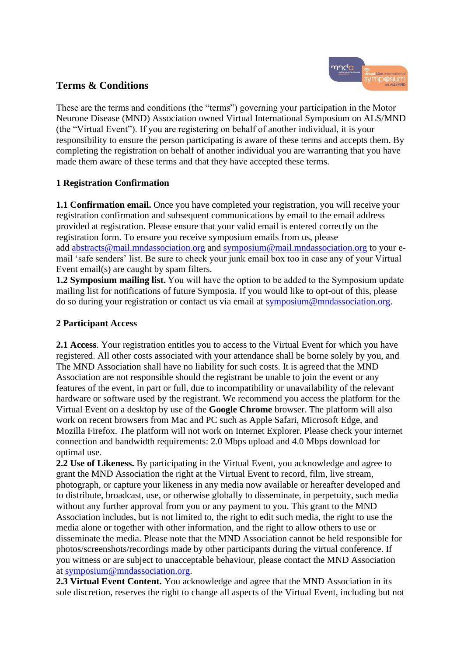# **Terms & Conditions**

These are the terms and conditions (the "terms") governing your participation in the Motor Neurone Disease (MND) Association owned Virtual International Symposium on ALS/MND (the "Virtual Event"). If you are registering on behalf of another individual, it is your responsibility to ensure the person participating is aware of these terms and accepts them. By completing the registration on behalf of another individual you are warranting that you have made them aware of these terms and that they have accepted these terms.

### **1 Registration Confirmation**

**1.1 Confirmation email.** Once you have completed your registration, you will receive your registration confirmation and subsequent communications by email to the email address provided at registration. Please ensure that your valid email is entered correctly on the registration form. To ensure you receive symposium emails from us, please add [abstracts@mail.mndassociation.org](mailto:abstracts@mail.mndassociation.org) and [symposium@mail.mndassociation.org](mailto:symposium@mail.mndassociation.org) to your email 'safe senders' list. Be sure to check your junk email box too in case any of your Virtual Event email(s) are caught by spam filters.

**1.2 Symposium mailing list.** You will have the option to be added to the Symposium update mailing list for notifications of future Symposia. If you would like to opt-out of this, please do so during your registration or contact us via email at [symposium@mndassociation.org.](mailto:symposium@mndassociation.org)

### **2 Participant Access**

**2.1 Access**. Your registration entitles you to access to the Virtual Event for which you have registered. All other costs associated with your attendance shall be borne solely by you, and The MND Association shall have no liability for such costs. It is agreed that the MND Association are not responsible should the registrant be unable to join the event or any features of the event, in part or full, due to incompatibility or unavailability of the relevant hardware or software used by the registrant. We recommend you access the platform for the Virtual Event on a desktop by use of the **Google Chrome** browser. The platform will also work on recent browsers from Mac and PC such as Apple Safari, Microsoft Edge, and Mozilla Firefox. The platform will not work on Internet Explorer. Please check your internet connection and bandwidth requirements: 2.0 Mbps upload and 4.0 Mbps download for optimal use.

**2.2 Use of Likeness.** By participating in the Virtual Event, you acknowledge and agree to grant the MND Association the right at the Virtual Event to record, film, live stream, photograph, or capture your likeness in any media now available or hereafter developed and to distribute, broadcast, use, or otherwise globally to disseminate, in perpetuity, such media without any further approval from you or any payment to you. This grant to the MND Association includes, but is not limited to, the right to edit such media, the right to use the media alone or together with other information, and the right to allow others to use or disseminate the media. Please note that the MND Association cannot be held responsible for photos/screenshots/recordings made by other participants during the virtual conference. If you witness or are subject to unacceptable behaviour, please contact the MND Association at [symposium@mndassociation.org.](mailto:symposium@mndassociation.org)

**2.3 Virtual Event Content.** You acknowledge and agree that the MND Association in its sole discretion, reserves the right to change all aspects of the Virtual Event, including but not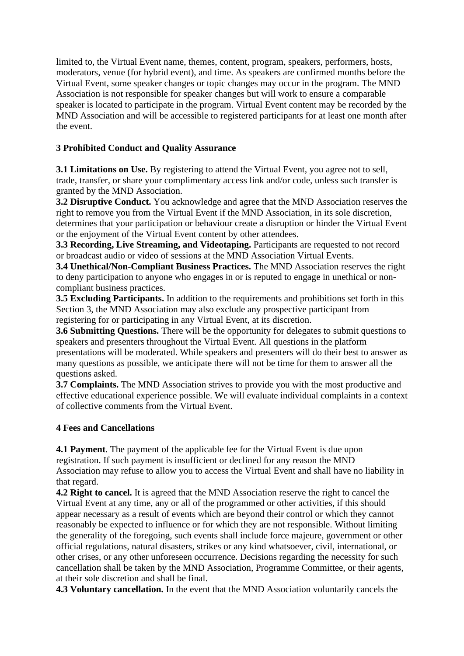limited to, the Virtual Event name, themes, content, program, speakers, performers, hosts, moderators, venue (for hybrid event), and time. As speakers are confirmed months before the Virtual Event, some speaker changes or topic changes may occur in the program. The MND Association is not responsible for speaker changes but will work to ensure a comparable speaker is located to participate in the program. Virtual Event content may be recorded by the MND Association and will be accessible to registered participants for at least one month after the event.

## **3 Prohibited Conduct and Quality Assurance**

**3.1 Limitations on Use.** By registering to attend the Virtual Event, you agree not to sell, trade, transfer, or share your complimentary access link and/or code, unless such transfer is granted by the MND Association.

**3.2 Disruptive Conduct.** You acknowledge and agree that the MND Association reserves the right to remove you from the Virtual Event if the MND Association, in its sole discretion, determines that your participation or behaviour create a disruption or hinder the Virtual Event or the enjoyment of the Virtual Event content by other attendees.

**3.3 Recording, Live Streaming, and Videotaping.** Participants are requested to not record or broadcast audio or video of sessions at the MND Association Virtual Events.

**3.4 Unethical/Non-Compliant Business Practices.** The MND Association reserves the right to deny participation to anyone who engages in or is reputed to engage in unethical or noncompliant business practices.

**3.5 Excluding Participants.** In addition to the requirements and prohibitions set forth in this Section 3, the MND Association may also exclude any prospective participant from registering for or participating in any Virtual Event, at its discretion.

**3.6** Submitting Questions. There will be the opportunity for delegates to submit questions to speakers and presenters throughout the Virtual Event. All questions in the platform presentations will be moderated. While speakers and presenters will do their best to answer as many questions as possible, we anticipate there will not be time for them to answer all the questions asked.

**3.7 Complaints.** The MND Association strives to provide you with the most productive and effective educational experience possible. We will evaluate individual complaints in a context of collective comments from the Virtual Event.

# **4 Fees and Cancellations**

**4.1 Payment**. The payment of the applicable fee for the Virtual Event is due upon registration. If such payment is insufficient or declined for any reason the MND Association may refuse to allow you to access the Virtual Event and shall have no liability in that regard.

**4.2 Right to cancel.** It is agreed that the MND Association reserve the right to cancel the Virtual Event at any time, any or all of the programmed or other activities, if this should appear necessary as a result of events which are beyond their control or which they cannot reasonably be expected to influence or for which they are not responsible. Without limiting the generality of the foregoing, such events shall include force majeure, government or other official regulations, natural disasters, strikes or any kind whatsoever, civil, international, or other crises, or any other unforeseen occurrence. Decisions regarding the necessity for such cancellation shall be taken by the MND Association, Programme Committee, or their agents, at their sole discretion and shall be final.

**4.3 Voluntary cancellation.** In the event that the MND Association voluntarily cancels the